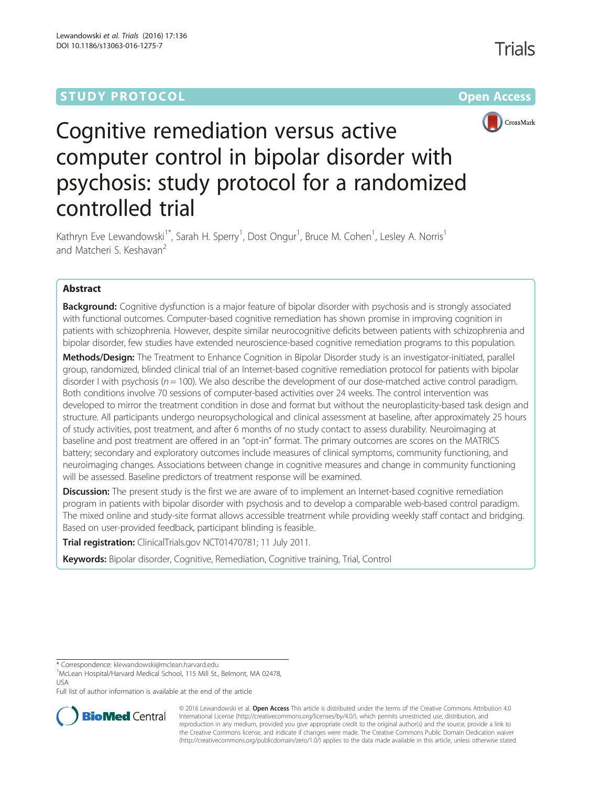## **STUDY PROTOCOL CONSUMING THE RESERVE ACCESS**



# Cognitive remediation versus active computer control in bipolar disorder with psychosis: study protocol for a randomized controlled trial

Kathryn Eve Lewandowski<sup>1\*</sup>, Sarah H. Sperry<sup>1</sup>, Dost Ongur<sup>1</sup>, Bruce M. Cohen<sup>1</sup>, Lesley A. Norris<sup>1</sup> and Matcheri S. Keshavan<sup>2</sup>

## Abstract

**Background:** Cognitive dysfunction is a major feature of bipolar disorder with psychosis and is strongly associated with functional outcomes. Computer-based cognitive remediation has shown promise in improving cognition in patients with schizophrenia. However, despite similar neurocognitive deficits between patients with schizophrenia and bipolar disorder, few studies have extended neuroscience-based cognitive remediation programs to this population.

Methods/Design: The Treatment to Enhance Cognition in Bipolar Disorder study is an investigator-initiated, parallel group, randomized, blinded clinical trial of an Internet-based cognitive remediation protocol for patients with bipolar disorder I with psychosis ( $n = 100$ ). We also describe the development of our dose-matched active control paradigm. Both conditions involve 70 sessions of computer-based activities over 24 weeks. The control intervention was developed to mirror the treatment condition in dose and format but without the neuroplasticity-based task design and structure. All participants undergo neuropsychological and clinical assessment at baseline, after approximately 25 hours of study activities, post treatment, and after 6 months of no study contact to assess durability. Neuroimaging at baseline and post treatment are offered in an "opt-in" format. The primary outcomes are scores on the MATRICS battery; secondary and exploratory outcomes include measures of clinical symptoms, community functioning, and neuroimaging changes. Associations between change in cognitive measures and change in community functioning will be assessed. Baseline predictors of treatment response will be examined.

**Discussion:** The present study is the first we are aware of to implement an Internet-based cognitive remediation program in patients with bipolar disorder with psychosis and to develop a comparable web-based control paradigm. The mixed online and study-site format allows accessible treatment while providing weekly staff contact and bridging. Based on user-provided feedback, participant blinding is feasible.

Trial registration: ClinicalTrials.gov [NCT01470781](https://clinicaltrials.gov/ct2/show/NCT01470781?term=NCT01470781&rank=1); 11 July 2011.

Keywords: Bipolar disorder, Cognitive, Remediation, Cognitive training, Trial, Control

Full list of author information is available at the end of the article



© 2016 Lewandowski et al. Open Access This article is distributed under the terms of the Creative Commons Attribution 4.0 International License [\(http://creativecommons.org/licenses/by/4.0/](http://creativecommons.org/licenses/by/4.0/)), which permits unrestricted use, distribution, and reproduction in any medium, provided you give appropriate credit to the original author(s) and the source, provide a link to the Creative Commons license, and indicate if changes were made. The Creative Commons Public Domain Dedication waiver [\(http://creativecommons.org/publicdomain/zero/1.0/](http://creativecommons.org/publicdomain/zero/1.0/)) applies to the data made available in this article, unless otherwise stated.

<sup>\*</sup> Correspondence: [klewandowski@mclean.harvard.edu](mailto:klewandowski@mclean.harvard.edu) <sup>1</sup>

<sup>&</sup>lt;sup>1</sup>McLean Hospital/Harvard Medical School, 115 Mill St., Belmont, MA 02478, USA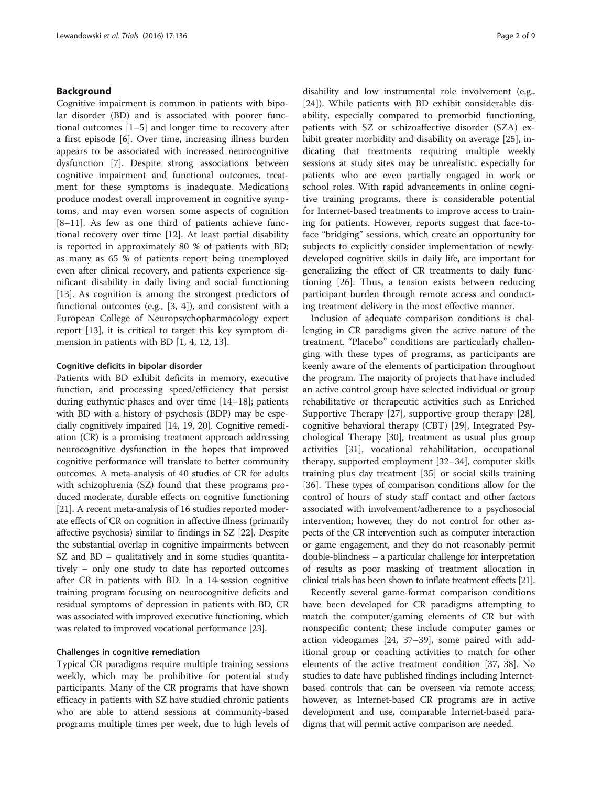#### Background

Cognitive impairment is common in patients with bipolar disorder (BD) and is associated with poorer functional outcomes [[1](#page-7-0)–[5](#page-7-0)] and longer time to recovery after a first episode [\[6](#page-7-0)]. Over time, increasing illness burden appears to be associated with increased neurocognitive dysfunction [\[7](#page-7-0)]. Despite strong associations between cognitive impairment and functional outcomes, treatment for these symptoms is inadequate. Medications produce modest overall improvement in cognitive symptoms, and may even worsen some aspects of cognition [[8](#page-7-0)–[11\]](#page-7-0). As few as one third of patients achieve functional recovery over time [\[12\]](#page-7-0). At least partial disability is reported in approximately 80 % of patients with BD; as many as 65 % of patients report being unemployed even after clinical recovery, and patients experience significant disability in daily living and social functioning [[13\]](#page-7-0). As cognition is among the strongest predictors of functional outcomes (e.g., [\[3](#page-7-0), [4](#page-7-0)]), and consistent with a European College of Neuropsychopharmacology expert report [\[13](#page-7-0)], it is critical to target this key symptom dimension in patients with BD [[1](#page-7-0), [4](#page-7-0), [12](#page-7-0), [13](#page-7-0)].

#### Cognitive deficits in bipolar disorder

Patients with BD exhibit deficits in memory, executive function, and processing speed/efficiency that persist during euthymic phases and over time [[14](#page-7-0)–[18](#page-7-0)]; patients with BD with a history of psychosis (BDP) may be especially cognitively impaired [[14](#page-7-0), [19, 20\]](#page-7-0). Cognitive remediation (CR) is a promising treatment approach addressing neurocognitive dysfunction in the hopes that improved cognitive performance will translate to better community outcomes. A meta-analysis of 40 studies of CR for adults with schizophrenia (SZ) found that these programs produced moderate, durable effects on cognitive functioning [[21](#page-7-0)]. A recent meta-analysis of 16 studies reported moderate effects of CR on cognition in affective illness (primarily affective psychosis) similar to findings in SZ [\[22\]](#page-7-0). Despite the substantial overlap in cognitive impairments between SZ and BD – qualitatively and in some studies quantitatively – only one study to date has reported outcomes after CR in patients with BD. In a 14-session cognitive training program focusing on neurocognitive deficits and residual symptoms of depression in patients with BD, CR was associated with improved executive functioning, which was related to improved vocational performance [[23](#page-7-0)].

#### Challenges in cognitive remediation

Typical CR paradigms require multiple training sessions weekly, which may be prohibitive for potential study participants. Many of the CR programs that have shown efficacy in patients with SZ have studied chronic patients who are able to attend sessions at community-based programs multiple times per week, due to high levels of disability and low instrumental role involvement (e.g., [[24\]](#page-7-0)). While patients with BD exhibit considerable disability, especially compared to premorbid functioning, patients with SZ or schizoaffective disorder (SZA) exhibit greater morbidity and disability on average [[25\]](#page-7-0), indicating that treatments requiring multiple weekly sessions at study sites may be unrealistic, especially for patients who are even partially engaged in work or school roles. With rapid advancements in online cognitive training programs, there is considerable potential for Internet-based treatments to improve access to training for patients. However, reports suggest that face-toface "bridging" sessions, which create an opportunity for subjects to explicitly consider implementation of newlydeveloped cognitive skills in daily life, are important for generalizing the effect of CR treatments to daily functioning [\[26\]](#page-7-0). Thus, a tension exists between reducing participant burden through remote access and conducting treatment delivery in the most effective manner.

Inclusion of adequate comparison conditions is challenging in CR paradigms given the active nature of the treatment. "Placebo" conditions are particularly challenging with these types of programs, as participants are keenly aware of the elements of participation throughout the program. The majority of projects that have included an active control group have selected individual or group rehabilitative or therapeutic activities such as Enriched Supportive Therapy [[27\]](#page-7-0), supportive group therapy [\[28](#page-7-0)], cognitive behavioral therapy (CBT) [\[29](#page-7-0)], Integrated Psychological Therapy [\[30](#page-7-0)], treatment as usual plus group activities [[31\]](#page-7-0), vocational rehabilitation, occupational therapy, supported employment [[32](#page-7-0)–[34](#page-7-0)], computer skills training plus day treatment [\[35](#page-7-0)] or social skills training [[36\]](#page-7-0). These types of comparison conditions allow for the control of hours of study staff contact and other factors associated with involvement/adherence to a psychosocial intervention; however, they do not control for other aspects of the CR intervention such as computer interaction or game engagement, and they do not reasonably permit double-blindness – a particular challenge for interpretation of results as poor masking of treatment allocation in clinical trials has been shown to inflate treatment effects [\[21](#page-7-0)].

Recently several game-format comparison conditions have been developed for CR paradigms attempting to match the computer/gaming elements of CR but with nonspecific content; these include computer games or action videogames [\[24, 37](#page-7-0)–[39\]](#page-7-0), some paired with additional group or coaching activities to match for other elements of the active treatment condition [[37](#page-7-0), [38\]](#page-7-0). No studies to date have published findings including Internetbased controls that can be overseen via remote access; however, as Internet-based CR programs are in active development and use, comparable Internet-based paradigms that will permit active comparison are needed.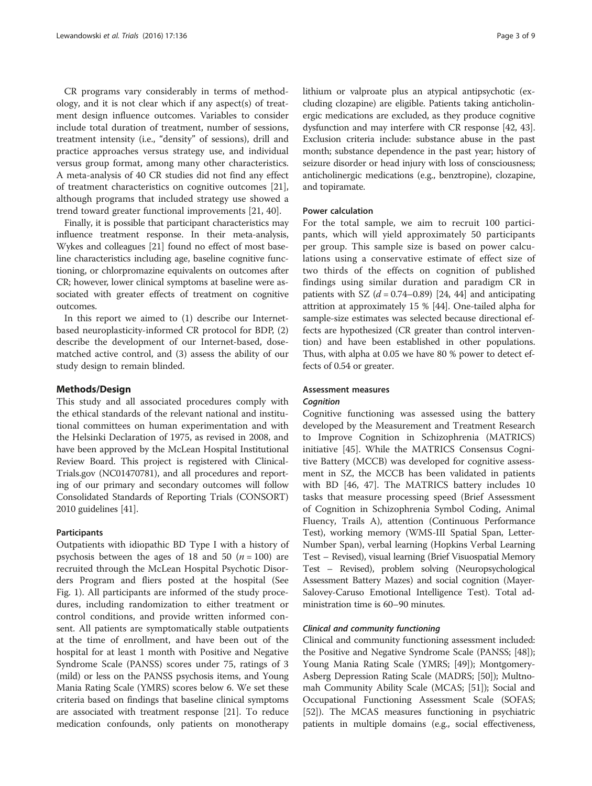CR programs vary considerably in terms of methodology, and it is not clear which if any aspect(s) of treatment design influence outcomes. Variables to consider include total duration of treatment, number of sessions, treatment intensity (i.e., "density" of sessions), drill and practice approaches versus strategy use, and individual versus group format, among many other characteristics. A meta-analysis of 40 CR studies did not find any effect of treatment characteristics on cognitive outcomes [\[21](#page-7-0)], although programs that included strategy use showed a trend toward greater functional improvements [\[21](#page-7-0), [40\]](#page-7-0).

Finally, it is possible that participant characteristics may influence treatment response. In their meta-analysis, Wykes and colleagues [[21](#page-7-0)] found no effect of most baseline characteristics including age, baseline cognitive functioning, or chlorpromazine equivalents on outcomes after CR; however, lower clinical symptoms at baseline were associated with greater effects of treatment on cognitive outcomes.

In this report we aimed to (1) describe our Internetbased neuroplasticity-informed CR protocol for BDP, (2) describe the development of our Internet-based, dosematched active control, and (3) assess the ability of our study design to remain blinded.

#### Methods/Design

This study and all associated procedures comply with the ethical standards of the relevant national and institutional committees on human experimentation and with the Helsinki Declaration of 1975, as revised in 2008, and have been approved by the McLean Hospital Institutional Review Board. This project is registered with Clinical-Trials.gov (NC01470781), and all procedures and reporting of our primary and secondary outcomes will follow Consolidated Standards of Reporting Trials (CONSORT) 2010 guidelines [\[41\]](#page-7-0).

#### **Participants**

Outpatients with idiopathic BD Type I with a history of psychosis between the ages of 18 and 50  $(n = 100)$  are recruited through the McLean Hospital Psychotic Disorders Program and fliers posted at the hospital (See Fig. [1](#page-3-0)). All participants are informed of the study procedures, including randomization to either treatment or control conditions, and provide written informed consent. All patients are symptomatically stable outpatients at the time of enrollment, and have been out of the hospital for at least 1 month with Positive and Negative Syndrome Scale (PANSS) scores under 75, ratings of 3 (mild) or less on the PANSS psychosis items, and Young Mania Rating Scale (YMRS) scores below 6. We set these criteria based on findings that baseline clinical symptoms are associated with treatment response [[21](#page-7-0)]. To reduce medication confounds, only patients on monotherapy lithium or valproate plus an atypical antipsychotic (excluding clozapine) are eligible. Patients taking anticholinergic medications are excluded, as they produce cognitive dysfunction and may interfere with CR response [[42](#page-7-0), [43](#page-8-0)]. Exclusion criteria include: substance abuse in the past month; substance dependence in the past year; history of seizure disorder or head injury with loss of consciousness; anticholinergic medications (e.g., benztropine), clozapine, and topiramate.

#### Power calculation

For the total sample, we aim to recruit 100 participants, which will yield approximately 50 participants per group. This sample size is based on power calculations using a conservative estimate of effect size of two thirds of the effects on cognition of published findings using similar duration and paradigm CR in patients with SZ  $(d = 0.74 - 0.89)$  [[24](#page-7-0), [44\]](#page-8-0) and anticipating attrition at approximately 15 % [\[44\]](#page-8-0). One-tailed alpha for sample-size estimates was selected because directional effects are hypothesized (CR greater than control intervention) and have been established in other populations. Thus, with alpha at 0.05 we have 80 % power to detect effects of 0.54 or greater.

#### Assessment measures

#### **Cognition**

Cognitive functioning was assessed using the battery developed by the Measurement and Treatment Research to Improve Cognition in Schizophrenia (MATRICS) initiative [[45\]](#page-8-0). While the MATRICS Consensus Cognitive Battery (MCCB) was developed for cognitive assessment in SZ, the MCCB has been validated in patients with BD [\[46, 47](#page-8-0)]. The MATRICS battery includes 10 tasks that measure processing speed (Brief Assessment of Cognition in Schizophrenia Symbol Coding, Animal Fluency, Trails A), attention (Continuous Performance Test), working memory (WMS-III Spatial Span, Letter-Number Span), verbal learning (Hopkins Verbal Learning Test – Revised), visual learning (Brief Visuospatial Memory Test – Revised), problem solving (Neuropsychological Assessment Battery Mazes) and social cognition (Mayer-Salovey-Caruso Emotional Intelligence Test). Total administration time is 60–90 minutes.

#### Clinical and community functioning

Clinical and community functioning assessment included: the Positive and Negative Syndrome Scale (PANSS; [[48](#page-8-0)]); Young Mania Rating Scale (YMRS; [\[49\]](#page-8-0)); Montgomery-Asberg Depression Rating Scale (MADRS; [[50](#page-8-0)]); Multnomah Community Ability Scale (MCAS; [\[51\]](#page-8-0)); Social and Occupational Functioning Assessment Scale (SOFAS; [[52](#page-8-0)]). The MCAS measures functioning in psychiatric patients in multiple domains (e.g., social effectiveness,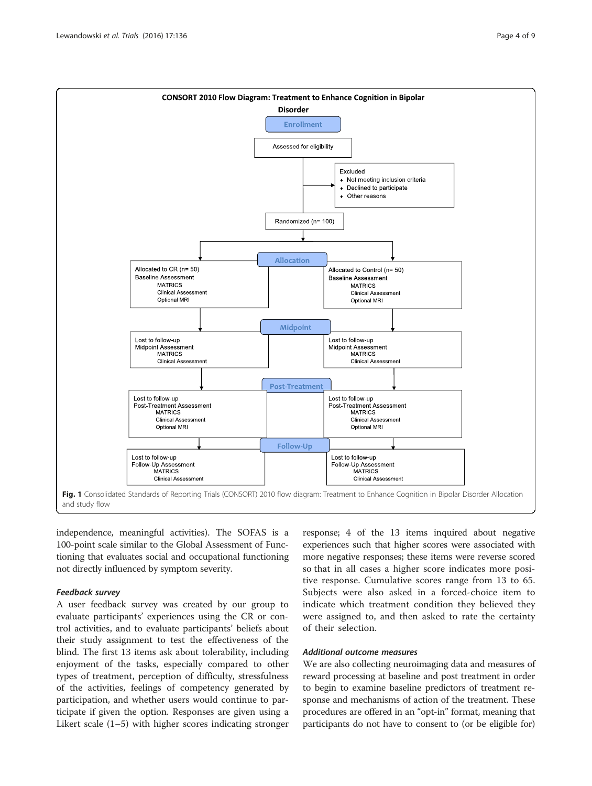<span id="page-3-0"></span>

independence, meaningful activities). The SOFAS is a 100-point scale similar to the Global Assessment of Functioning that evaluates social and occupational functioning not directly influenced by symptom severity.

#### Feedback survey

A user feedback survey was created by our group to evaluate participants' experiences using the CR or control activities, and to evaluate participants' beliefs about their study assignment to test the effectiveness of the blind. The first 13 items ask about tolerability, including enjoyment of the tasks, especially compared to other types of treatment, perception of difficulty, stressfulness of the activities, feelings of competency generated by participation, and whether users would continue to participate if given the option. Responses are given using a Likert scale (1–5) with higher scores indicating stronger

response; 4 of the 13 items inquired about negative experiences such that higher scores were associated with more negative responses; these items were reverse scored so that in all cases a higher score indicates more positive response. Cumulative scores range from 13 to 65. Subjects were also asked in a forced-choice item to indicate which treatment condition they believed they were assigned to, and then asked to rate the certainty of their selection.

#### Additional outcome measures

We are also collecting neuroimaging data and measures of reward processing at baseline and post treatment in order to begin to examine baseline predictors of treatment response and mechanisms of action of the treatment. These procedures are offered in an "opt-in" format, meaning that participants do not have to consent to (or be eligible for)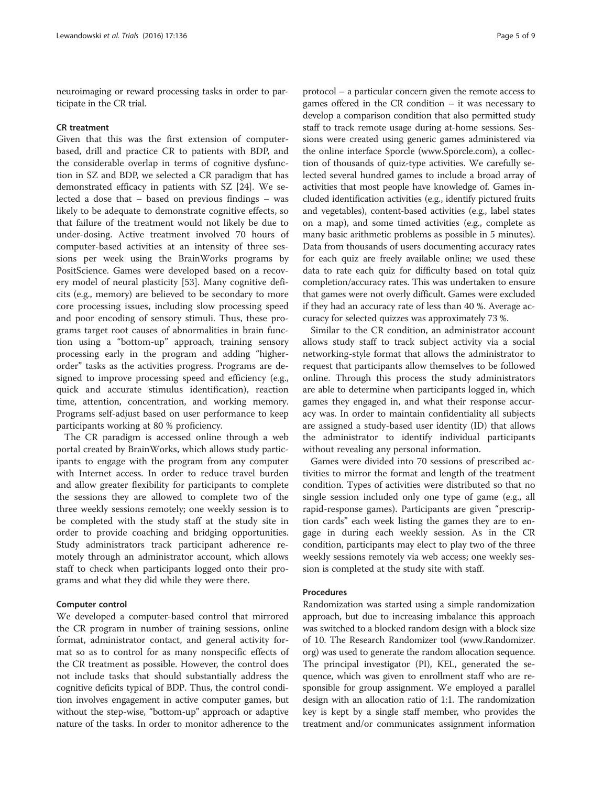neuroimaging or reward processing tasks in order to participate in the CR trial.

#### CR treatment

Given that this was the first extension of computerbased, drill and practice CR to patients with BDP, and the considerable overlap in terms of cognitive dysfunction in SZ and BDP, we selected a CR paradigm that has demonstrated efficacy in patients with SZ [[24\]](#page-7-0). We selected a dose that – based on previous findings – was likely to be adequate to demonstrate cognitive effects, so that failure of the treatment would not likely be due to under-dosing. Active treatment involved 70 hours of computer-based activities at an intensity of three sessions per week using the BrainWorks programs by PositScience. Games were developed based on a recovery model of neural plasticity [[53\]](#page-8-0). Many cognitive deficits (e.g., memory) are believed to be secondary to more core processing issues, including slow processing speed and poor encoding of sensory stimuli. Thus, these programs target root causes of abnormalities in brain function using a "bottom-up" approach, training sensory processing early in the program and adding "higherorder" tasks as the activities progress. Programs are designed to improve processing speed and efficiency (e.g., quick and accurate stimulus identification), reaction time, attention, concentration, and working memory. Programs self-adjust based on user performance to keep participants working at 80 % proficiency.

The CR paradigm is accessed online through a web portal created by BrainWorks, which allows study participants to engage with the program from any computer with Internet access. In order to reduce travel burden and allow greater flexibility for participants to complete the sessions they are allowed to complete two of the three weekly sessions remotely; one weekly session is to be completed with the study staff at the study site in order to provide coaching and bridging opportunities. Study administrators track participant adherence remotely through an administrator account, which allows staff to check when participants logged onto their programs and what they did while they were there.

#### Computer control

We developed a computer-based control that mirrored the CR program in number of training sessions, online format, administrator contact, and general activity format so as to control for as many nonspecific effects of the CR treatment as possible. However, the control does not include tasks that should substantially address the cognitive deficits typical of BDP. Thus, the control condition involves engagement in active computer games, but without the step-wise, "bottom-up" approach or adaptive nature of the tasks. In order to monitor adherence to the

protocol – a particular concern given the remote access to games offered in the CR condition – it was necessary to develop a comparison condition that also permitted study staff to track remote usage during at-home sessions. Sessions were created using generic games administered via the online interface Sporcle ([www.Sporcle.com](http://www.sporcle.com)), a collection of thousands of quiz-type activities. We carefully selected several hundred games to include a broad array of activities that most people have knowledge of. Games included identification activities (e.g., identify pictured fruits and vegetables), content-based activities (e.g., label states on a map), and some timed activities (e.g., complete as many basic arithmetic problems as possible in 5 minutes). Data from thousands of users documenting accuracy rates for each quiz are freely available online; we used these data to rate each quiz for difficulty based on total quiz completion/accuracy rates. This was undertaken to ensure that games were not overly difficult. Games were excluded if they had an accuracy rate of less than 40 %. Average accuracy for selected quizzes was approximately 73 %.

Similar to the CR condition, an administrator account allows study staff to track subject activity via a social networking-style format that allows the administrator to request that participants allow themselves to be followed online. Through this process the study administrators are able to determine when participants logged in, which games they engaged in, and what their response accuracy was. In order to maintain confidentiality all subjects are assigned a study-based user identity (ID) that allows the administrator to identify individual participants without revealing any personal information.

Games were divided into 70 sessions of prescribed activities to mirror the format and length of the treatment condition. Types of activities were distributed so that no single session included only one type of game (e.g., all rapid-response games). Participants are given "prescription cards" each week listing the games they are to engage in during each weekly session. As in the CR condition, participants may elect to play two of the three weekly sessions remotely via web access; one weekly session is completed at the study site with staff.

#### Procedures

Randomization was started using a simple randomization approach, but due to increasing imbalance this approach was switched to a blocked random design with a block size of 10. The Research Randomizer tool ([www.Randomizer.](http://www.Randomizer.org) [org\)](http://www.Randomizer.org) was used to generate the random allocation sequence. The principal investigator (PI), KEL, generated the sequence, which was given to enrollment staff who are responsible for group assignment. We employed a parallel design with an allocation ratio of 1:1. The randomization key is kept by a single staff member, who provides the treatment and/or communicates assignment information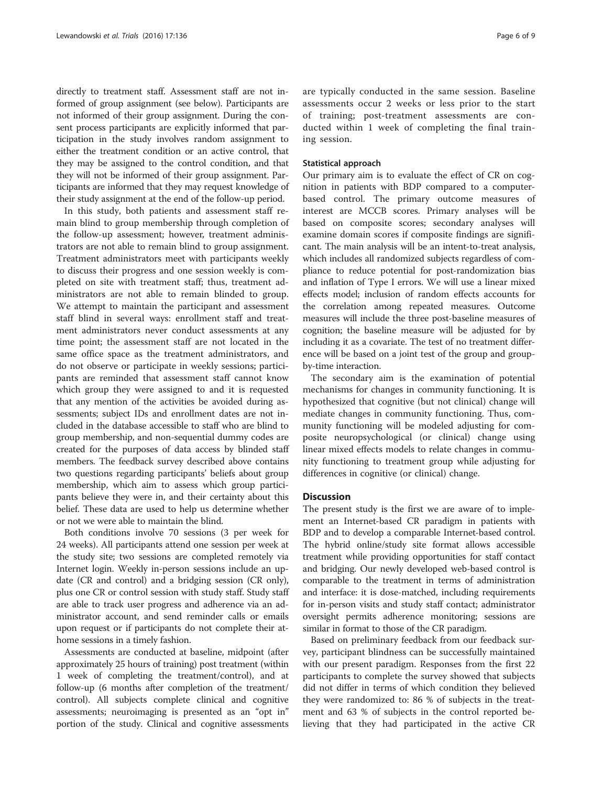directly to treatment staff. Assessment staff are not informed of group assignment (see below). Participants are not informed of their group assignment. During the consent process participants are explicitly informed that participation in the study involves random assignment to either the treatment condition or an active control, that they may be assigned to the control condition, and that they will not be informed of their group assignment. Participants are informed that they may request knowledge of their study assignment at the end of the follow-up period.

In this study, both patients and assessment staff remain blind to group membership through completion of the follow-up assessment; however, treatment administrators are not able to remain blind to group assignment. Treatment administrators meet with participants weekly to discuss their progress and one session weekly is completed on site with treatment staff; thus, treatment administrators are not able to remain blinded to group. We attempt to maintain the participant and assessment staff blind in several ways: enrollment staff and treatment administrators never conduct assessments at any time point; the assessment staff are not located in the same office space as the treatment administrators, and do not observe or participate in weekly sessions; participants are reminded that assessment staff cannot know which group they were assigned to and it is requested that any mention of the activities be avoided during assessments; subject IDs and enrollment dates are not included in the database accessible to staff who are blind to group membership, and non-sequential dummy codes are created for the purposes of data access by blinded staff members. The feedback survey described above contains two questions regarding participants' beliefs about group membership, which aim to assess which group participants believe they were in, and their certainty about this belief. These data are used to help us determine whether or not we were able to maintain the blind.

Both conditions involve 70 sessions (3 per week for 24 weeks). All participants attend one session per week at the study site; two sessions are completed remotely via Internet login. Weekly in-person sessions include an update (CR and control) and a bridging session (CR only), plus one CR or control session with study staff. Study staff are able to track user progress and adherence via an administrator account, and send reminder calls or emails upon request or if participants do not complete their athome sessions in a timely fashion.

Assessments are conducted at baseline, midpoint (after approximately 25 hours of training) post treatment (within 1 week of completing the treatment/control), and at follow-up (6 months after completion of the treatment/ control). All subjects complete clinical and cognitive assessments; neuroimaging is presented as an "opt in" portion of the study. Clinical and cognitive assessments are typically conducted in the same session. Baseline assessments occur 2 weeks or less prior to the start of training; post-treatment assessments are conducted within 1 week of completing the final training session.

#### Statistical approach

Our primary aim is to evaluate the effect of CR on cognition in patients with BDP compared to a computerbased control. The primary outcome measures of interest are MCCB scores. Primary analyses will be based on composite scores; secondary analyses will examine domain scores if composite findings are significant. The main analysis will be an intent-to-treat analysis, which includes all randomized subjects regardless of compliance to reduce potential for post-randomization bias and inflation of Type I errors. We will use a linear mixed effects model; inclusion of random effects accounts for the correlation among repeated measures. Outcome measures will include the three post-baseline measures of cognition; the baseline measure will be adjusted for by including it as a covariate. The test of no treatment difference will be based on a joint test of the group and groupby-time interaction.

The secondary aim is the examination of potential mechanisms for changes in community functioning. It is hypothesized that cognitive (but not clinical) change will mediate changes in community functioning. Thus, community functioning will be modeled adjusting for composite neuropsychological (or clinical) change using linear mixed effects models to relate changes in community functioning to treatment group while adjusting for differences in cognitive (or clinical) change.

#### **Discussion**

The present study is the first we are aware of to implement an Internet-based CR paradigm in patients with BDP and to develop a comparable Internet-based control. The hybrid online/study site format allows accessible treatment while providing opportunities for staff contact and bridging. Our newly developed web-based control is comparable to the treatment in terms of administration and interface: it is dose-matched, including requirements for in-person visits and study staff contact; administrator oversight permits adherence monitoring; sessions are similar in format to those of the CR paradigm.

Based on preliminary feedback from our feedback survey, participant blindness can be successfully maintained with our present paradigm. Responses from the first 22 participants to complete the survey showed that subjects did not differ in terms of which condition they believed they were randomized to: 86 % of subjects in the treatment and 63 % of subjects in the control reported believing that they had participated in the active CR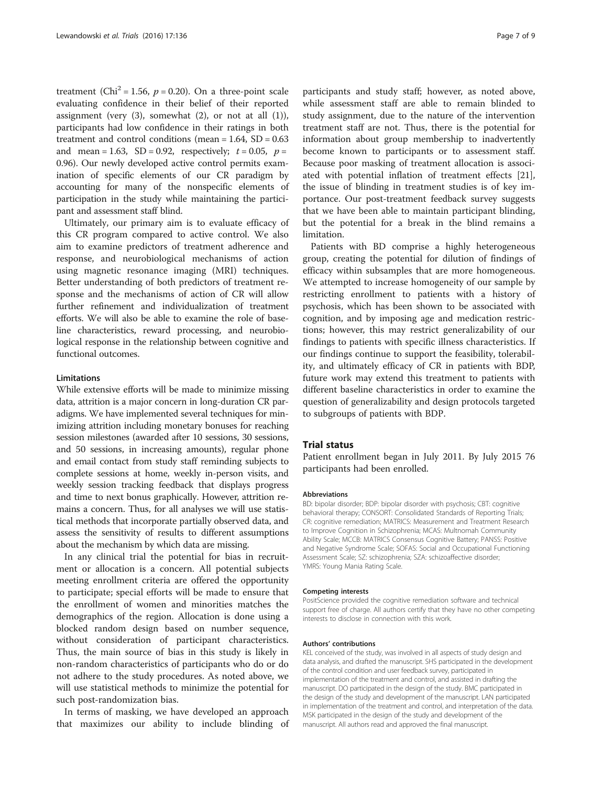treatment (Chi<sup>2</sup> = 1.56,  $p = 0.20$ ). On a three-point scale evaluating confidence in their belief of their reported assignment (very  $(3)$ , somewhat  $(2)$ , or not at all  $(1)$ ), participants had low confidence in their ratings in both treatment and control conditions (mean =  $1.64$ , SD =  $0.63$ and mean = 1.63, SD = 0.92, respectively;  $t = 0.05$ ,  $p =$ 0.96). Our newly developed active control permits examination of specific elements of our CR paradigm by accounting for many of the nonspecific elements of participation in the study while maintaining the participant and assessment staff blind.

Ultimately, our primary aim is to evaluate efficacy of this CR program compared to active control. We also aim to examine predictors of treatment adherence and response, and neurobiological mechanisms of action using magnetic resonance imaging (MRI) techniques. Better understanding of both predictors of treatment response and the mechanisms of action of CR will allow further refinement and individualization of treatment efforts. We will also be able to examine the role of baseline characteristics, reward processing, and neurobiological response in the relationship between cognitive and functional outcomes.

#### Limitations

While extensive efforts will be made to minimize missing data, attrition is a major concern in long-duration CR paradigms. We have implemented several techniques for minimizing attrition including monetary bonuses for reaching session milestones (awarded after 10 sessions, 30 sessions, and 50 sessions, in increasing amounts), regular phone and email contact from study staff reminding subjects to complete sessions at home, weekly in-person visits, and weekly session tracking feedback that displays progress and time to next bonus graphically. However, attrition remains a concern. Thus, for all analyses we will use statistical methods that incorporate partially observed data, and assess the sensitivity of results to different assumptions about the mechanism by which data are missing.

In any clinical trial the potential for bias in recruitment or allocation is a concern. All potential subjects meeting enrollment criteria are offered the opportunity to participate; special efforts will be made to ensure that the enrollment of women and minorities matches the demographics of the region. Allocation is done using a blocked random design based on number sequence, without consideration of participant characteristics. Thus, the main source of bias in this study is likely in non-random characteristics of participants who do or do not adhere to the study procedures. As noted above, we will use statistical methods to minimize the potential for such post-randomization bias.

In terms of masking, we have developed an approach that maximizes our ability to include blinding of

participants and study staff; however, as noted above, while assessment staff are able to remain blinded to study assignment, due to the nature of the intervention treatment staff are not. Thus, there is the potential for information about group membership to inadvertently become known to participants or to assessment staff. Because poor masking of treatment allocation is associated with potential inflation of treatment effects [\[21](#page-7-0)], the issue of blinding in treatment studies is of key importance. Our post-treatment feedback survey suggests that we have been able to maintain participant blinding,

Patients with BD comprise a highly heterogeneous group, creating the potential for dilution of findings of efficacy within subsamples that are more homogeneous. We attempted to increase homogeneity of our sample by restricting enrollment to patients with a history of psychosis, which has been shown to be associated with cognition, and by imposing age and medication restrictions; however, this may restrict generalizability of our findings to patients with specific illness characteristics. If our findings continue to support the feasibility, tolerability, and ultimately efficacy of CR in patients with BDP, future work may extend this treatment to patients with different baseline characteristics in order to examine the question of generalizability and design protocols targeted to subgroups of patients with BDP.

but the potential for a break in the blind remains a

#### Trial status

limitation.

Patient enrollment began in July 2011. By July 2015 76 participants had been enrolled.

#### Abbreviations

BD: bipolar disorder; BDP: bipolar disorder with psychosis; CBT: cognitive behavioral therapy; CONSORT: Consolidated Standards of Reporting Trials; CR: cognitive remediation; MATRICS: Measurement and Treatment Research to Improve Cognition in Schizophrenia; MCAS: Multnomah Community Ability Scale; MCCB: MATRICS Consensus Cognitive Battery; PANSS: Positive and Negative Syndrome Scale; SOFAS: Social and Occupational Functioning Assessment Scale; SZ: schizophrenia; SZA: schizoaffective disorder; YMRS: Young Mania Rating Scale.

#### Competing interests

PositScience provided the cognitive remediation software and technical support free of charge. All authors certify that they have no other competing interests to disclose in connection with this work.

#### Authors' contributions

KEL conceived of the study, was involved in all aspects of study design and data analysis, and drafted the manuscript. SHS participated in the development of the control condition and user feedback survey, participated in implementation of the treatment and control, and assisted in drafting the manuscript. DO participated in the design of the study. BMC participated in the design of the study and development of the manuscript. LAN participated in implementation of the treatment and control, and interpretation of the data. MSK participated in the design of the study and development of the manuscript. All authors read and approved the final manuscript.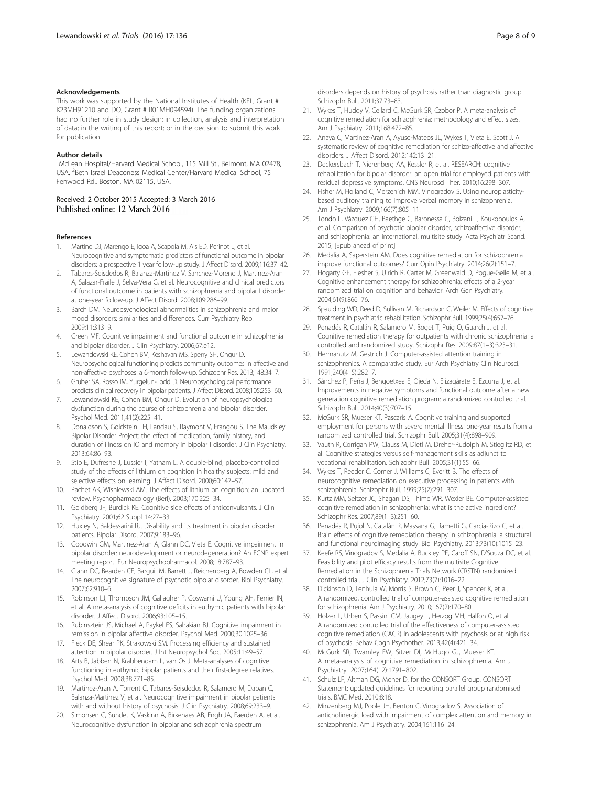#### <span id="page-7-0"></span>Acknowledgements

This work was supported by the National Institutes of Health (KEL, Grant # K23MH91210 and DO, Grant # R01MH094594). The funding organizations had no further role in study design; in collection, analysis and interpretation of data; in the writing of this report; or in the decision to submit this work for publication.

#### Author details

<sup>1</sup>McLean Hospital/Harvard Medical School, 115 Mill St., Belmont, MA 02478, USA. <sup>2</sup>Beth Israel Deaconess Medical Center/Harvard Medical School, 75 Fenwood Rd., Boston, MA 02115, USA.

Received: 2 October 2015 Accepted: 3 March 2016 Published online: 12 March 2016

#### References

- Martino DJ, Marengo E, Igoa A, Scapola M, Ais ED, Perinot L, et al. Neurocognitive and symptomatic predictors of functional outcome in bipolar disorders: a prospective 1 year follow-up study. J Affect Disord. 2009;116:37–42.
- 2. Tabares-Seisdedos R, Balanza-Martinez V, Sanchez-Moreno J, Martinez-Aran A, Salazar-Fraile J, Selva-Vera G, et al. Neurocognitive and clinical predictors of functional outcome in patients with schizophrenia and bipolar I disorder at one-year follow-up. J Affect Disord. 2008;109:286–99.
- Barch DM. Neuropsychological abnormalities in schizophrenia and major mood disorders: similarities and differences. Curr Psychiatry Rep. 2009;11:313–9.
- 4. Green MF. Cognitive impairment and functional outcome in schizophrenia and bipolar disorder. J Clin Psychiatry. 2006;67:e12.
- 5. Lewandowski KE, Cohen BM, Keshavan MS, Sperry SH, Ongur D. Neuropsychological functioning predicts community outcomes in affective and non-affective psychoses: a 6-month follow-up. Schizophr Res. 2013;148:34–7.
- 6. Gruber SA, Rosso IM, Yurgelun-Todd D. Neuropsychological performance predicts clinical recovery in bipolar patients. J Affect Disord. 2008;105:253–60.
- 7. Lewandowski KE, Cohen BM, Ongur D. Evolution of neuropsychological dysfunction during the course of schizophrenia and bipolar disorder. Psychol Med. 2011;41(2):225–41.
- 8. Donaldson S, Goldstein LH, Landau S, Raymont V, Frangou S. The Maudsley Bipolar Disorder Project: the effect of medication, family history, and duration of illness on IQ and memory in bipolar I disorder. J Clin Psychiatry. 2013;64:86–93.
- 9. Stip E, Dufresne J, Lussier I, Yatham L. A double-blind, placebo-controlled study of the effects of lithium on cognition in healthy subjects: mild and selective effects on learning. J Affect Disord. 2000;60:147–57.
- 10. Pachet AK, Wisniewski AM. The effects of lithium on cognition: an updated review. Psychopharmacology (Berl). 2003;170:225–34.
- 11. Goldberg JF, Burdick KE. Cognitive side effects of anticonvulsants. J Clin Psychiatry. 2001;62 Suppl 14:27–33.
- 12. Huxley N, Baldessarini RJ. Disability and its treatment in bipolar disorder patients. Bipolar Disord. 2007;9:183–96.
- 13. Goodwin GM, Martinez-Aran A, Glahn DC, Vieta E. Cognitive impairment in bipolar disorder: neurodevelopment or neurodegeneration? An ECNP expert meeting report. Eur Neuropsychopharmacol. 2008;18:787–93.
- 14. Glahn DC, Bearden CE, Barguil M, Barrett J, Reichenberg A, Bowden CL, et al. The neurocognitive signature of psychotic bipolar disorder. Biol Psychiatry. 2007;62:910–6.
- 15. Robinson LJ, Thompson JM, Gallagher P, Goswami U, Young AH, Ferrier IN, et al. A meta-analysis of cognitive deficits in euthymic patients with bipolar disorder. J Affect Disord. 2006;93:105–15.
- 16. Rubinsztein JS, Michael A, Paykel ES, Sahakian BJ. Cognitive impairment in remission in bipolar affective disorder. Psychol Med. 2000;30:1025–36.
- 17. Fleck DE, Shear PK, Strakowski SM. Processing efficiency and sustained attention in bipolar disorder. J Int Neuropsychol Soc. 2005;11:49–57.
- 18. Arts B, Jabben N, Krabbendam L, van Os J. Meta-analyses of cognitive functioning in euthymic bipolar patients and their first-degree relatives. Psychol Med. 2008;38:771–85.
- 19. Martinez-Aran A, Torrent C, Tabares-Seisdedos R, Salamero M, Daban C, Balanza-Martinez V, et al. Neurocognitive impairment in bipolar patients with and without history of psychosis. J Clin Psychiatry. 2008;69:233–9.
- 20. Simonsen C, Sundet K, Vaskinn A, Birkenaes AB, Engh JA, Faerden A, et al. Neurocognitive dysfunction in bipolar and schizophrenia spectrum

disorders depends on history of psychosis rather than diagnostic group. Schizophr Bull. 2011;37:73–83.

- 21. Wykes T, Huddy V, Cellard C, McGurk SR, Czobor P. A meta-analysis of cognitive remediation for schizophrenia: methodology and effect sizes. Am J Psychiatry. 2011;168:472–85.
- 22. Anaya C, Martinez-Aran A, Ayuso-Mateos JL, Wykes T, Vieta E, Scott J. A systematic review of cognitive remediation for schizo-affective and affective disorders. J Affect Disord. 2012;142:13–21.
- 23. Deckersbach T, Nierenberg AA, Kessler R, et al. RESEARCH: cognitive rehabilitation for bipolar disorder: an open trial for employed patients with residual depressive symptoms. CNS Neurosci Ther. 2010;16:298–307.
- 24. Fisher M, Holland C, Merzenich MM, Vinogradov S. Using neuroplasticitybased auditory training to improve verbal memory in schizophrenia. Am J Psychiatry. 2009;166(7):805–11.
- 25. Tondo L, Vázquez GH, Baethge C, Baronessa C, Bolzani L, Koukopoulos A, et al. Comparison of psychotic bipolar disorder, schizoaffective disorder, and schizophrenia: an international, multisite study. Acta Psychiatr Scand. 2015; [Epub ahead of print]
- 26. Medalia A, Saperstein AM. Does cognitive remediation for schizophrenia improve functional outcomes? Curr Opin Psychiatry. 2014;26(2):151–7.
- 27. Hogarty GE, Flesher S, Ulrich R, Carter M, Greenwald D, Pogue-Geile M, et al. Cognitive enhancement therapy for schizophrenia: effects of a 2-year randomized trial on cognition and behavior. Arch Gen Psychiatry. 2004;61(9):866–76.
- 28. Spaulding WD, Reed D, Sullivan M, Richardson C, Weiler M. Effects of cognitive treatment in psychiatric rehabilitation. Schizophr Bull. 1999;25(4):657–76.
- 29. Penadés R, Catalán R, Salamero M, Boget T, Puig O, Guarch J, et al. Cognitive remediation therapy for outpatients with chronic schizophrenia: a controlled and randomized study. Schizophr Res. 2009;87(1–3):323–31.
- 30. Hermanutz M, Gestrich J. Computer-assisted attention training in schizophrenics. A comparative study. Eur Arch Psychiatry Clin Neurosci. 1991;240(4–5):282–7.
- 31. Sánchez P, Peña J, Bengoetxea E, Ojeda N, Elizagárate E, Ezcurra J, et al. Improvements in negative symptoms and functional outcome after a new generation cognitive remediation program: a randomized controlled trial. Schizophr Bull. 2014;40(3):707–15.
- 32. McGurk SR, Mueser KT, Pascaris A. Cognitive training and supported employment for persons with severe mental illness: one-year results from a randomized controlled trial. Schizophr Bull. 2005;31(4):898–909.
- 33. Vauth R, Corrigan PW, Clauss M, Dietl M, Dreher-Rudolph M, Stieglitz RD, et al. Cognitive strategies versus self-management skills as adjunct to vocational rehabilitation. Schizophr Bull. 2005;31(1):55–66.
- 34. Wykes T, Reeder C, Corner J, Williams C, Everitt B. The effects of neurocognitive remediation on executive processing in patients with schizophrenia. Schizophr Bull. 1999;25(2):291–307.
- 35. Kurtz MM, Seltzer JC, Shagan DS, Thime WR, Wexler BE. Computer-assisted cognitive remediation in schizophrenia: what is the active ingredient? Schizophr Res. 2007;89(1–3):251–60.
- 36. Penadés R, Pujol N, Catalán R, Massana G, Rametti G, García-Rizo C, et al. Brain effects of cognitive remediation therapy in schizophrenia: a structural and functional neuroimaging study. Biol Psychiatry. 2013;73(10):1015–23.
- 37. Keefe RS, Vinogradov S, Medalia A, Buckley PF, Caroff SN, D'Souza DC, et al. Feasibility and pilot efficacy results from the multisite Cognitive Remediation in the Schizophrenia Trials Network (CRSTN) randomized controlled trial. J Clin Psychiatry. 2012;73(7):1016–22.
- 38. Dickinson D, Tenhula W, Morris S, Brown C, Peer J, Spencer K, et al. A randomized, controlled trial of computer-assisted cognitive remediation for schizophrenia. Am J Psychiatry. 2010;167(2):170–80.
- 39. Holzer L, Urben S, Passini CM, Jaugey L, Herzog MH, Halfon O, et al. A randomized controlled trial of the effectiveness of computer-assisted cognitive remediation (CACR) in adolescents with psychosis or at high risk of psychosis. Behav Cogn Psychother. 2013;42(4):421–34.
- 40. McGurk SR, Twamley EW, Sitzer DI, McHugo GJ, Mueser KT. A meta-analysis of cognitive remediation in schizophrenia. Am J Psychiatry. 2007;164(12):1791–802.
- 41. Schulz LF, Altman DG, Moher D, for the CONSORT Group. CONSORT Statement: updated guidelines for reporting parallel group randomised trials. BMC Med. 2010;8:18.
- 42. Minzenberg MJ, Poole JH, Benton C, Vinogradov S. Association of anticholinergic load with impairment of complex attention and memory in schizophrenia. Am J Psychiatry. 2004;161:116–24.